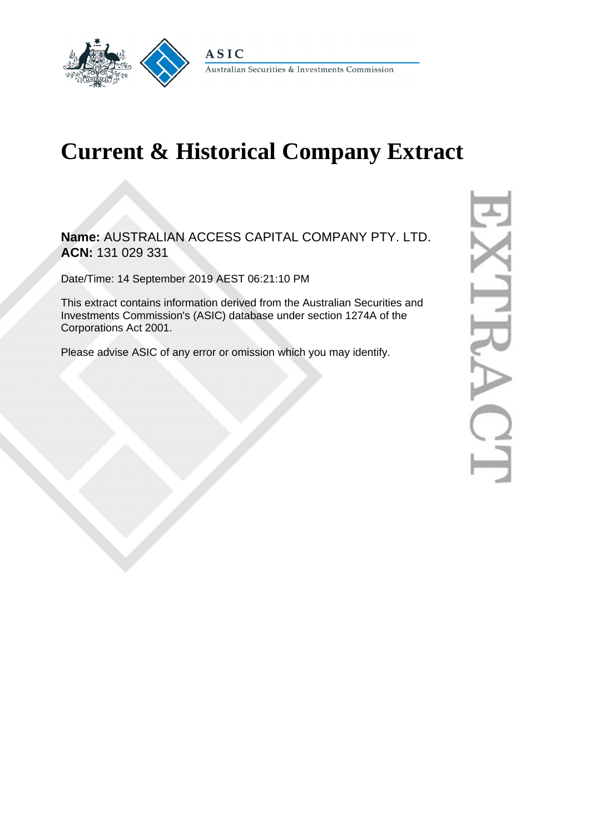

# **Current & Historical Company Extract**

**Name:** AUSTRALIAN ACCESS CAPITAL COMPANY PTY. LTD. **ACN:** 131 029 331

Date/Time: 14 September 2019 AEST 06:21:10 PM

This extract contains information derived from the Australian Securities and Investments Commission's (ASIC) database under section 1274A of the Corporations Act 2001.

Please advise ASIC of any error or omission which you may identify.

D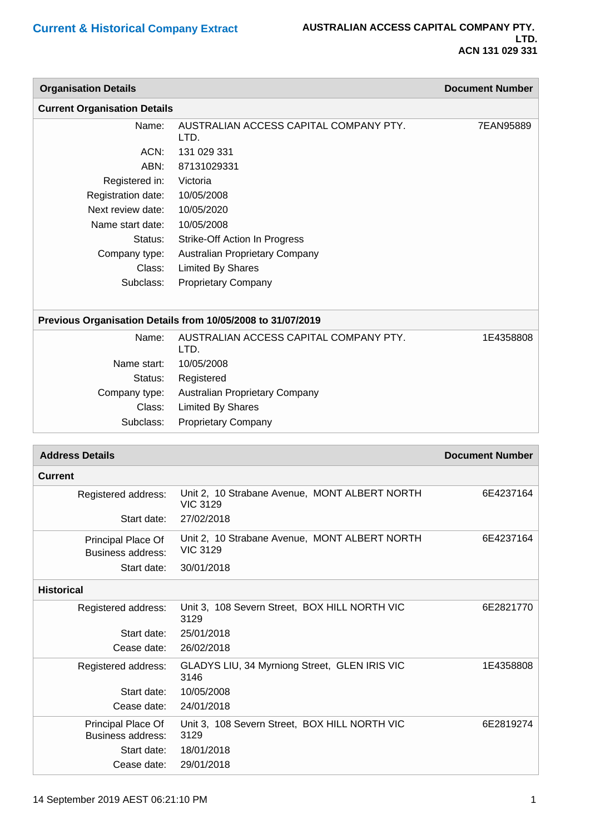| <b>Organisation Details</b>                    |                                                                  | <b>Document Number</b> |
|------------------------------------------------|------------------------------------------------------------------|------------------------|
| <b>Current Organisation Details</b>            |                                                                  |                        |
| Name:                                          | AUSTRALIAN ACCESS CAPITAL COMPANY PTY.<br>LTD.                   | 7EAN95889              |
| ACN:                                           | 131 029 331                                                      |                        |
| ABN:                                           | 87131029331                                                      |                        |
| Registered in:                                 | Victoria                                                         |                        |
| Registration date:                             | 10/05/2008                                                       |                        |
| Next review date:                              | 10/05/2020                                                       |                        |
| Name start date:                               | 10/05/2008                                                       |                        |
| Status:                                        | Strike-Off Action In Progress                                    |                        |
| Company type:                                  | Australian Proprietary Company                                   |                        |
| Class:                                         | <b>Limited By Shares</b>                                         |                        |
| Subclass:                                      | <b>Proprietary Company</b>                                       |                        |
|                                                |                                                                  |                        |
|                                                | Previous Organisation Details from 10/05/2008 to 31/07/2019      |                        |
| Name:                                          | AUSTRALIAN ACCESS CAPITAL COMPANY PTY.<br>LTD.                   | 1E4358808              |
| Name start:                                    | 10/05/2008                                                       |                        |
| Status:                                        | Registered                                                       |                        |
| Company type:                                  | Australian Proprietary Company                                   |                        |
| Class:                                         | <b>Limited By Shares</b>                                         |                        |
| Subclass:                                      | <b>Proprietary Company</b>                                       |                        |
|                                                |                                                                  |                        |
|                                                |                                                                  |                        |
| <b>Address Details</b>                         |                                                                  | <b>Document Number</b> |
| <b>Current</b>                                 |                                                                  |                        |
| Registered address:                            | Unit 2, 10 Strabane Avenue, MONT ALBERT NORTH<br><b>VIC 3129</b> | 6E4237164              |
| Start date:                                    | 27/02/2018                                                       |                        |
| Principal Place Of                             | Unit 2, 10 Strabane Avenue, MONT ALBERT NORTH                    | 6E4237164              |
| Business address:                              | <b>VIC 3129</b>                                                  |                        |
| Start date:                                    | 30/01/2018                                                       |                        |
| <b>Historical</b>                              |                                                                  |                        |
| Registered address:                            | Unit 3, 108 Severn Street, BOX HILL NORTH VIC<br>3129            | 6E2821770              |
| Start date:                                    | 25/01/2018                                                       |                        |
| Cease date:                                    | 26/02/2018                                                       |                        |
| Registered address:                            | GLADYS LIU, 34 Myrniong Street, GLEN IRIS VIC<br>3146            | 1E4358808              |
| Start date:                                    | 10/05/2008                                                       |                        |
| Cease date:                                    | 24/01/2018                                                       |                        |
| Principal Place Of<br><b>Business address:</b> | Unit 3, 108 Severn Street, BOX HILL NORTH VIC<br>3129            | 6E2819274              |
| Start date:                                    | 18/01/2018                                                       |                        |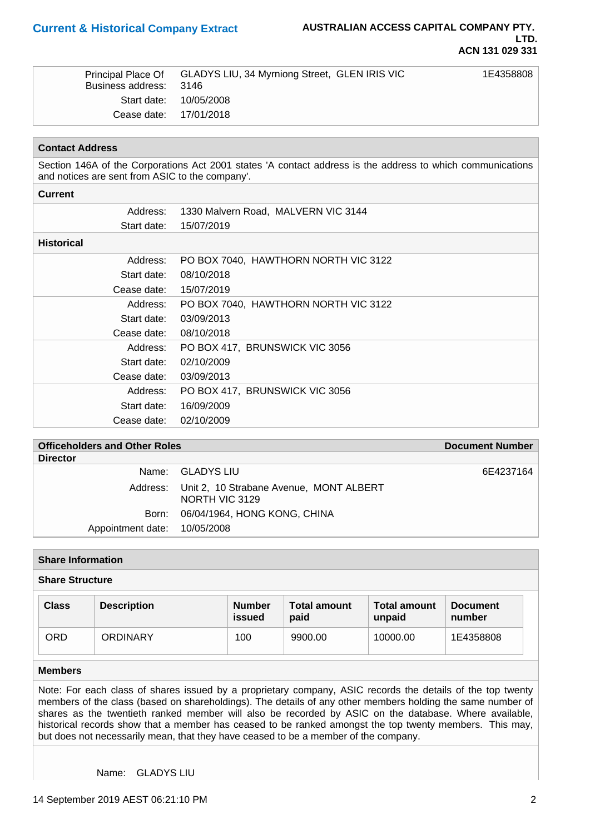| Business address: 3146 | Principal Place Of GLADYS LIU, 34 Myrniong Street, GLEN IRIS VIC | 1E4358808 |
|------------------------|------------------------------------------------------------------|-----------|
|                        | Start date: 10/05/2008                                           |           |
| Cease date: 17/01/2018 |                                                                  |           |

# **Contact Address**

Section 146A of the Corporations Act 2001 states 'A contact address is the address to which communications and notices are sent from ASIC to the company'.

#### **Current**

| Address:          | 1330 Malvern Road, MALVERN VIC 3144  |
|-------------------|--------------------------------------|
| Start date:       | 15/07/2019                           |
| <b>Historical</b> |                                      |
| Address:          | PO BOX 7040, HAWTHORN NORTH VIC 3122 |
| Start date:       | 08/10/2018                           |
| Cease date:       | 15/07/2019                           |
| Address:          | PO BOX 7040, HAWTHORN NORTH VIC 3122 |
| Start date:       | 03/09/2013                           |
| Cease date:       | 08/10/2018                           |
| Address:          | PO BOX 417, BRUNSWICK VIC 3056       |
| Start date:       | 02/10/2009                           |
| Cease date:       | 03/09/2013                           |
| Address:          | PO BOX 417, BRUNSWICK VIC 3056       |
| Start date:       | 16/09/2009                           |
| Cease date:       | 02/10/2009                           |

# **Officeholders and Other Roles Document Number Document Number**

| <b>Director</b>              |                                                                    |           |
|------------------------------|--------------------------------------------------------------------|-----------|
|                              | Name: GLADYS LIU                                                   | 6E4237164 |
|                              | Address: Unit 2, 10 Strabane Avenue, MONT ALBERT<br>NORTH VIC 3129 |           |
|                              | Born: 06/04/1964, HONG KONG, CHINA                                 |           |
| Appointment date: 10/05/2008 |                                                                    |           |

# **Share Information**

# **Share Structure**

| <b>Class</b> | <b>Description</b> | <b>Number</b><br>issued | <b>Total amount</b><br>paid | <b>Total amount</b><br>unpaid | <b>Document</b><br>number |
|--------------|--------------------|-------------------------|-----------------------------|-------------------------------|---------------------------|
| ORD          | <b>ORDINARY</b>    | 100                     | 9900.00                     | 10000.00                      | 1E4358808                 |

### **Members**

Note: For each class of shares issued by a proprietary company, ASIC records the details of the top twenty members of the class (based on shareholdings). The details of any other members holding the same number of shares as the twentieth ranked member will also be recorded by ASIC on the database. Where available, historical records show that a member has ceased to be ranked amongst the top twenty members. This may, but does not necessarily mean, that they have ceased to be a member of the company.

Name: GLADYS LIU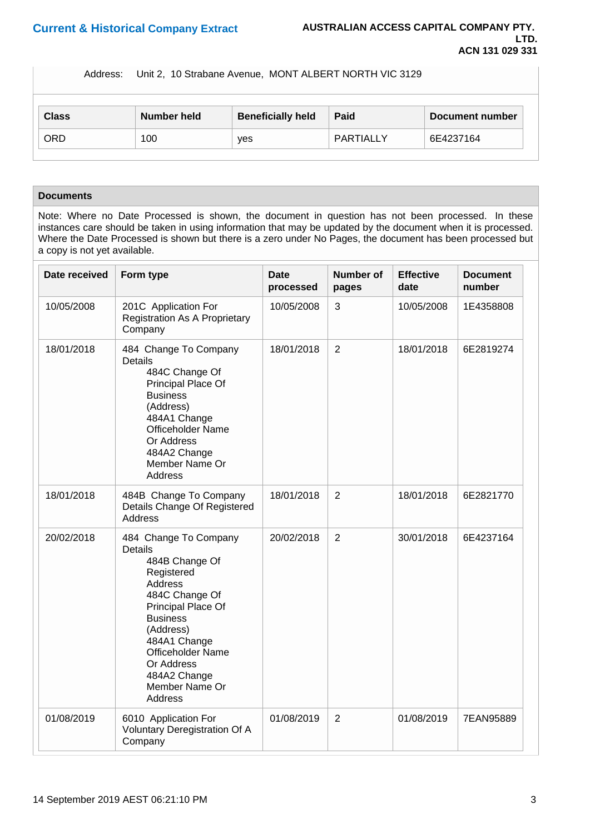Address: Unit 2, 10 Strabane Avenue, MONT ALBERT NORTH VIC 3129

| <b>Class</b> | Number held | <b>Beneficially held</b> | Paid      | Document number |
|--------------|-------------|--------------------------|-----------|-----------------|
| <b>ORD</b>   | 100         | yes                      | PARTIALLY | 6E4237164       |

# **Documents**

Note: Where no Date Processed is shown, the document in question has not been processed. In these instances care should be taken in using information that may be updated by the document when it is processed. Where the Date Processed is shown but there is a zero under No Pages, the document has been processed but a copy is not yet available.

| Date received | Form type                                                                                                                                                                                                                                                                       | <b>Date</b><br>processed | <b>Number of</b><br>pages | <b>Effective</b><br>date | <b>Document</b><br>number |
|---------------|---------------------------------------------------------------------------------------------------------------------------------------------------------------------------------------------------------------------------------------------------------------------------------|--------------------------|---------------------------|--------------------------|---------------------------|
| 10/05/2008    | 201C Application For<br><b>Registration As A Proprietary</b><br>Company                                                                                                                                                                                                         | 10/05/2008               | 3                         | 10/05/2008               | 1E4358808                 |
| 18/01/2018    | 484 Change To Company<br><b>Details</b><br>484C Change Of<br>Principal Place Of<br><b>Business</b><br>(Address)<br>484A1 Change<br><b>Officeholder Name</b><br>Or Address<br>484A2 Change<br>Member Name Or<br>Address                                                          | 18/01/2018               | $\overline{2}$            | 18/01/2018               | 6E2819274                 |
| 18/01/2018    | 484B Change To Company<br>Details Change Of Registered<br>Address                                                                                                                                                                                                               | 18/01/2018               | $\overline{2}$            | 18/01/2018               | 6E2821770                 |
| 20/02/2018    | 484 Change To Company<br><b>Details</b><br>484B Change Of<br>Registered<br><b>Address</b><br>484C Change Of<br>Principal Place Of<br><b>Business</b><br>(Address)<br>484A1 Change<br><b>Officeholder Name</b><br>Or Address<br>484A2 Change<br>Member Name Or<br><b>Address</b> | 20/02/2018               | $\overline{2}$            | 30/01/2018               | 6E4237164                 |
| 01/08/2019    | 6010 Application For<br>Voluntary Deregistration Of A<br>Company                                                                                                                                                                                                                | 01/08/2019               | $\overline{2}$            | 01/08/2019               | 7EAN95889                 |